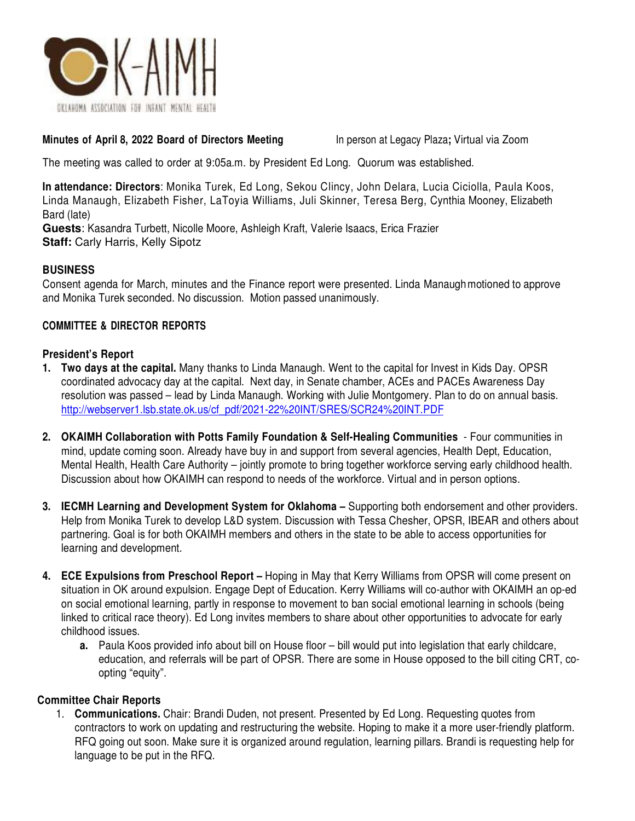

### **Minutes of April 8, 2022 Board of Directors Meeting** In person at Legacy Plaza**;** Virtual via Zoom

The meeting was called to order at 9:05a.m. by President Ed Long. Quorum was established.

**In attendance: Directors**: Monika Turek, Ed Long, Sekou Clincy, John Delara, Lucia Ciciolla, Paula Koos, Linda Manaugh, Elizabeth Fisher, LaToyia Williams, Juli Skinner, Teresa Berg, Cynthia Mooney, Elizabeth Bard (late)

**Guests**: Kasandra Turbett, Nicolle Moore, Ashleigh Kraft, Valerie Isaacs, Erica Frazier **Staff: Carly Harris, Kelly Sipotz** 

# **BUSINESS**

Consent agenda for March, minutes and the Finance report were presented. Linda Manaugh motioned to approve and Monika Turek seconded. No discussion. Motion passed unanimously.

# **COMMITTEE & DIRECTOR REPORTS**

### **President's Report**

- **1. Two days at the capital.** Many thanks to Linda Manaugh. Went to the capital for Invest in Kids Day. OPSR coordinated advocacy day at the capital. Next day, in Senate chamber, ACEs and PACEs Awareness Day resolution was passed – lead by Linda Manaugh. Working with Julie Montgomery. Plan to do on annual basis. http://webserver1.lsb.state.ok.us/cf\_pdf/2021-22%20INT/SRES/SCR24%20INT.PDF
- **2. OKAIMH Collaboration with Potts Family Foundation & Self-Healing Communities**  Four communities in mind, update coming soon. Already have buy in and support from several agencies, Health Dept, Education, Mental Health, Health Care Authority – jointly promote to bring together workforce serving early childhood health. Discussion about how OKAIMH can respond to needs of the workforce. Virtual and in person options.
- **3. IECMH Learning and Development System for Oklahoma** Supporting both endorsement and other providers. Help from Monika Turek to develop L&D system. Discussion with Tessa Chesher, OPSR, IBEAR and others about partnering. Goal is for both OKAIMH members and others in the state to be able to access opportunities for learning and development.
- **4. ECE Expulsions from Preschool Report** Hoping in May that Kerry Williams from OPSR will come present on situation in OK around expulsion. Engage Dept of Education. Kerry Williams will co-author with OKAIMH an op-ed on social emotional learning, partly in response to movement to ban social emotional learning in schools (being linked to critical race theory). Ed Long invites members to share about other opportunities to advocate for early childhood issues.
	- **a.** Paula Koos provided info about bill on House floor bill would put into legislation that early childcare, education, and referrals will be part of OPSR. There are some in House opposed to the bill citing CRT, coopting "equity".

### **Committee Chair Reports**

1. **Communications.** Chair: Brandi Duden, not present. Presented by Ed Long. Requesting quotes from contractors to work on updating and restructuring the website. Hoping to make it a more user-friendly platform. RFQ going out soon. Make sure it is organized around regulation, learning pillars. Brandi is requesting help for language to be put in the RFQ.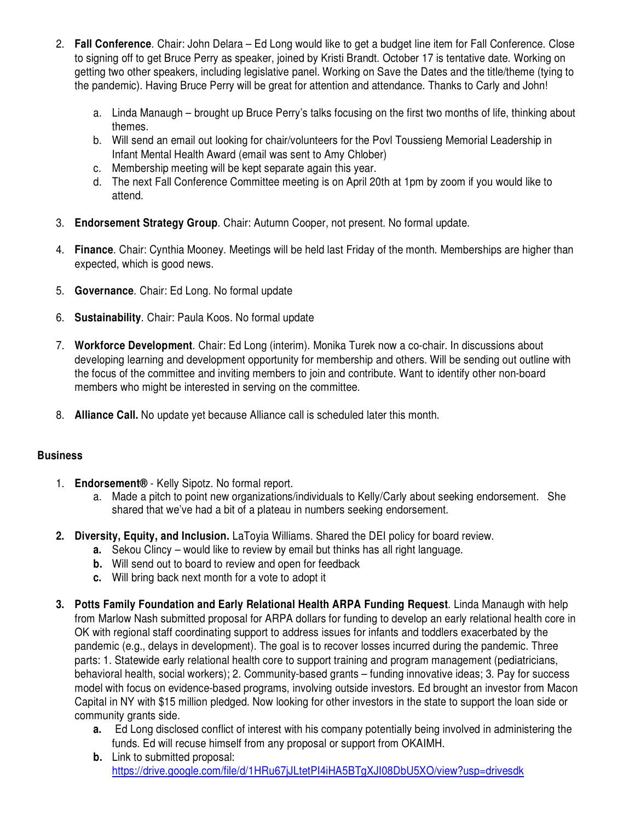- 2. **Fall Conference**. Chair: John Delara Ed Long would like to get a budget line item for Fall Conference. Close to signing off to get Bruce Perry as speaker, joined by Kristi Brandt. October 17 is tentative date. Working on getting two other speakers, including legislative panel. Working on Save the Dates and the title/theme (tying to the pandemic). Having Bruce Perry will be great for attention and attendance. Thanks to Carly and John!
	- a. Linda Manaugh brought up Bruce Perry's talks focusing on the first two months of life, thinking about themes.
	- b. Will send an email out looking for chair/volunteers for the Povl Toussieng Memorial Leadership in Infant Mental Health Award (email was sent to Amy Chlober)
	- c. Membership meeting will be kept separate again this year.
	- d. The next Fall Conference Committee meeting is on April 20th at 1pm by zoom if you would like to attend.
- 3. **Endorsement Strategy Group**. Chair: Autumn Cooper, not present. No formal update.
- 4. **Finance**. Chair: Cynthia Mooney. Meetings will be held last Friday of the month. Memberships are higher than expected, which is good news.
- 5. **Governance**. Chair: Ed Long. No formal update
- 6. **Sustainability**. Chair: Paula Koos. No formal update
- 7. **Workforce Development**. Chair: Ed Long (interim). Monika Turek now a co-chair. In discussions about developing learning and development opportunity for membership and others. Will be sending out outline with the focus of the committee and inviting members to join and contribute. Want to identify other non-board members who might be interested in serving on the committee.
- 8. **Alliance Call.** No update yet because Alliance call is scheduled later this month.

# **Business**

- 1. **Endorsement®** Kelly Sipotz. No formal report.
	- a. Made a pitch to point new organizations/individuals to Kelly/Carly about seeking endorsement. She shared that we've had a bit of a plateau in numbers seeking endorsement.
- **2. Diversity, Equity, and Inclusion.** LaToyia Williams. Shared the DEI policy for board review.
	- **a.** Sekou Clincy would like to review by email but thinks has all right language.
	- **b.** Will send out to board to review and open for feedback
	- **c.** Will bring back next month for a vote to adopt it
- **3. Potts Family Foundation and Early Relational Health ARPA Funding Request**. Linda Manaugh with help from Marlow Nash submitted proposal for ARPA dollars for funding to develop an early relational health core in OK with regional staff coordinating support to address issues for infants and toddlers exacerbated by the pandemic (e.g., delays in development). The goal is to recover losses incurred during the pandemic. Three parts: 1. Statewide early relational health core to support training and program management (pediatricians, behavioral health, social workers); 2. Community-based grants – funding innovative ideas; 3. Pay for success model with focus on evidence-based programs, involving outside investors. Ed brought an investor from Macon Capital in NY with \$15 million pledged. Now looking for other investors in the state to support the loan side or community grants side.
	- **a.** Ed Long disclosed conflict of interest with his company potentially being involved in administering the funds. Ed will recuse himself from any proposal or support from OKAIMH.
	- **b.** Link to submitted proposal: https://drive.google.com/file/d/1HRu67jJLtetPI4iHA5BTgXJI08DbU5XO/view?usp=drivesdk